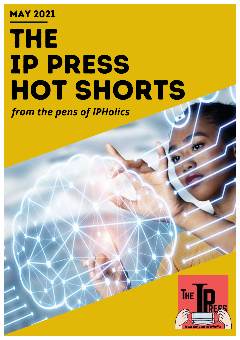## MAY 2021

# The IP PRESS HOT SHORTS *from the pens of IPHolics*

**THE** *from the pens of IPHolics*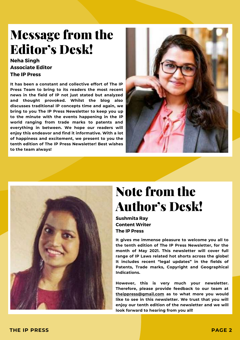## Message from the Editor's Desk!

#### **Neha Singh Associate Editor The IP Press**

**It has been a constant and collective effort of The IP Press Team to bring to its readers the most recent news in the field of IP not just stated but analyzed and thought provoked. Whilst the blog also discusses traditional IP concepts time and again, we bring to you The IP Press Newsletter to keep you up to the minute with the events happening in the IP world ranging from trade marks to patents and everything in between. We hope our readers will enjoy this endeavor and find it informative. With a lot of happiness and excitement, we present to you the tenth edition of The IP Press Newsletter! Best wishes to the team always!**





# Note from the Author's Desk!

**Sushmita Ray Content Writer The IP Press**

**It gives me immense pleasure to welcome you all to the tenth edition of The IP Press Newsletter, for the month of May 2021. This newsletter will cover full range of IP Laws related hot shorts across the globe! It includes recent "legal updates" in the fields of Patents, Trade marks, Copyright and Geographical Indications.**

**However, this is very much your newsletter. Therefore, please provide feedback to our team at [theippress@gmail.com](mailto:theippress@gmail.com) as to what more you would like to see in this newsletter. We trust that you will enjoy our tenth edition of the newsletter and we will look forward to hearing from you all!**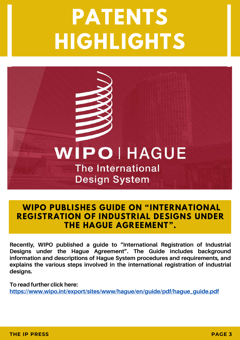# **PATENTS HIGHLIGHTS**



## **WIPO PUBLISHES GUIDE ON "INTERNATIONAL REGISTRATION OF INDUSTRIAL DESIGNS UNDER THE HAGUE AGREEMENT".**

**Recently, WIPO published a guide to "International Registration of Industrial Designs under the Hague Agreement". The Guide includes background information and descriptions of Hague System procedures and requirements, and explains the various steps involved in the international registration of industrial designs.**

**To read further click here: [https://www.wipo.int/export/sites/www/hague/en/guide/pdf/hague\\_guide.pdf](https://www.wipo.int/export/sites/www/hague/en/guide/pdf/hague_guide.pdf)**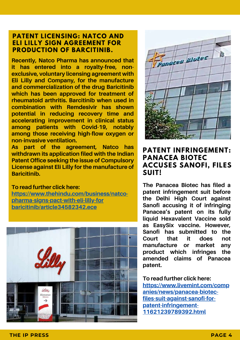#### **PATENT LICENSING: NATCO AND ELI LILLY SIGN AGREEMENT FOR PRODUCTION OF BARCITINIB.**

**Recently, Natco Pharma has announced that it has entered into a royalty-free, nonexclusive, voluntary licensing agreement with Eli Lilly and Company, for the manufacture and commercialization of the drug Baricitinib which has been approved for treatment of rheumatoid arthritis. Barcitinib when used in combination with Remdesivir has shown potential in reducing recovery time and accelerating improvement in clinical status among patients with Covid-19, notably among those receiving high-flow oxygen or non-invasive ventilation.**

**As part of the agreement, Natco has withdrawn its application filed with the Indian Patent Office seeking the issue of Compulsory License against Eli Lilly for the manufacture of Baricitinib.**

#### **To read further click here:**

**[https://www.thehindu.com/business/natco](https://www.thehindu.com/business/natco-pharma-signs-pact-with-eli-lilly-for-baricitinib/article34582342.ece)pharma-signs-pact-with-eli-lilly-for baricitinib/article34582342.ece**





### **PATENT INFRINGEMENT: PANACEA BIOTEC ACCUSES SANOFI, FILES SUIT!**

**The Panacea Biotec has filed a patent infringement suit before the Delhi High Court against Sanofi accusing it of infringing Panacea's patent on its fully liquid Hexavalent Vaccine sold as EasySix vaccine. However, Sanofi has submitted to the Court that it does not manufacture or market any product which infringes the amended claims of Panacea patent.**

**To read further click here: [https://www.livemint.com/comp](https://www.livemint.com/companies/news/panacea-biotec-files-suit-against-sanofi-for-patent-infringement-11621239789392.html) anies/news/panacea-biotecfiles-suit-against-sanofi-forpatent-infringement-11621239789392.html**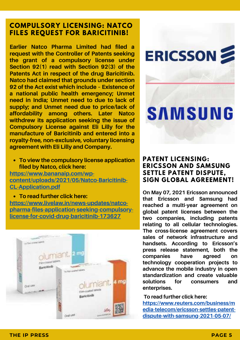### **COMPULSORY LICENSING: NATCO FILES REQUEST FOR BARICITINIB!**

**Earlier Natco Pharma Limited had filed a request with the Controller of Patents seeking the grant of a compulsory license under Section 92(1) read with Section 92(3) of the Patents Act in respect of the drug Baricitinib. Natco had claimed that grounds under section 92 of the Act exist which include – Existence of a national public health emergency; Unmet need in India; Unmet need to due to lack of supply; and Unmet need due to price/lack of affordability among others. Later Natco withdrew its application seeking the issue of Compulsory License against Eli Lilly for the manufacture of Baricitinib and entered into a royalty-free, non-exclusive, voluntary licensing agreement with Eli Lilly and Company.**

**To view the compulsory license application filed by Natco, click here:**

**https://www.bananaip.com/wp[content/uploads/2021/05/Natco-Baricitinib-](https://www.bananaip.com/wp-content/uploads/2021/05/Natco-Baricitinib-CL-Application.pdf)CL-Application.pdf**

**To read further click here:**

**https://www.livelaw.in/news-updates/natco[pharma-files-application-seeking-compulsory](https://www.livelaw.in/news-updates/natco-pharma-files-application-seeking-compulsory-license-for-covid-drug-baricitinib-173627)license-for-covid-drug-baricitinib-173627**



# **ERICSSON**

# **SAMSUNG**

### **PATENT LICENSING: ERICSSON AND SAMSUNG SETTLE PATENT DISPUTE, SIGN GLOBAL AGREEMENT!**

**On May 07, 2021 Ericsson announced that Ericsson and Samsung had reached a multi-year agreement on global patent licenses between the two companies, including patents relating to all cellular technologies. The cross-license agreement covers sales of network infrastructure and handsets. According to Ericsson's press release statement, both the companies have agreed on technology cooperation projects to advance the mobile industry in open standardization and create valuable solutions for consumers and enterprises.**

#### **To read further click here:**

**https://www.reuters.com/business/m [edia-telecom/ericsson-settles-patent](https://www.reuters.com/business/media-telecom/ericsson-settles-patent-dispute-with-samsung-2021-05-07/)dispute-with-samsung-2021-05-07/**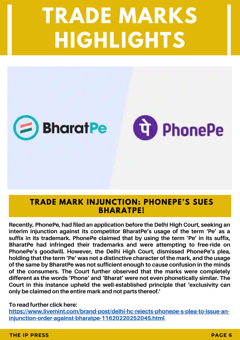# **TRADE MARKS HIGHLIGHTS**



### **TRADE MARK INJUNCTION: PHONEPE'S SUES BHARATPE!**

**Recently, PhonePe, had filed an application before the Delhi High Court, seeking an interim injunction against its competitor BharatPe's usage of the term 'Pe' as a suffix in its trademark. PhonePe claimed that by using the term 'Pe' in its suffix, BharatPe had infringed their trademarks and were attempting to free-ride on PhonePe's goodwill. However, the Delhi High Court, dismissed PhonePe's plea, holding that the term 'Pe' was not a distinctive character of the mark, and the usage of the same by BharatPe was not sufficient enough to cause confusion in the minds of the consumers. The Court further observed that the marks were completely different as the words 'Phone' and 'Bharat' were not even phonetically similar. The Court in this instance upheld the well-established principle that 'exclusivity can only be claimed on the entire mark and not parts thereof.'**

**To read further click here:**

**[https://www.livemint.com/brand-post/delhi-hc-rejects-phonepe-s-plea-to-issue-an](https://www.livemint.com/brand-post/delhi-hc-rejects-phonepe-s-plea-to-issue-an-injunction-order-against-bharatpe-11620220252045.html)injunction-order-against-bharatpe-11620220252045.html**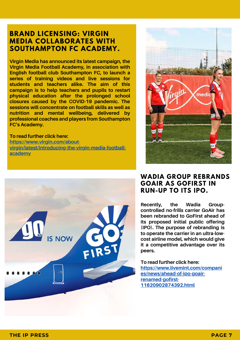### **BRAND LICENSING: VIRGIN MEDIA COLLABORATES WITH SOUTHAMPTON FC ACADEMY.**

**Virgin Media has announced its latest campaign, the Virgin Media Football Academy, in association with English football club Southampton FC, to launch a series of training videos and live sessions for students and teachers alike. The aim of this campaign is to help teachers and pupils to restart physical education after the prolonged school closures caused by the COVID-19 pandemic. The sessions will concentrate on football skills as well as nutrition and mental wellbeing, delivered by professional coaches and players from Southampton FC's Academy.**

**To read further click here: https://www.virgin.com/about[virgin/latest/introducing-the-virgin-media-football](https://www.virgin.com/about-virgin/latest/introducing-the-virgin-media-football-academy)academy**





#### **WADIA GROUP REBRANDS GOAIR AS GOFIRST IN RUN-UP TO ITS IPO.**

**Recently, the Wadia Groupcontrolled no-frills carrier [GoAir](https://www.livemint.com/market/ipo/for-goair-an-ipo-may-be-the-cheapest-route-to-raise-funds-11620755503659.html) has been rebranded to GoFirst ahead of its proposed initial public offering (IPO). The purpose of rebranding is to operate the carrier in an ultra-lowcost airline model, which would give it a competitive advantage over its peers.**

**To read further click here: [https://www.livemint.com/compani](https://www.livemint.com/companies/news/ahead-of-ipo-goair-renamed-gofirst-11620902874392.html) es/news/ahead-of-ipo-goairrenamed-gofirst-11620902874392.html**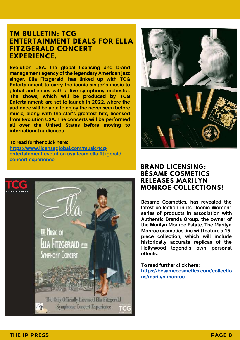### **TM BULLETIN: TCG ENTERTAINMENT DEALS FOR ELLA FITZGERALD CONCERT EXPERIENCE.**

**Evolution USA, the global licensing and brand management agency of the legendary American jazz singer, Ella Fitzgerald, has linked up with TCG Entertainment to carry the iconic singer's music to global audiences with a live symphony orchestra. The shows, which will be produced by TCG Entertainment, are set to launch in 2022, where the audience will be able to enjoy the never seen before music, along with the star's greatest hits, licensed from Evolution USA. The concerts will be performed all over the United States before moving to international audiences**

#### **To read further click here:**

**.**

**https://www.licenseglobal.com/music/tcg[entertainment-evolution-usa-team-ella-fitzgerald](https://www.licenseglobal.com/music/tcg-entertainment-evolution-usa-team-ella-fitzgerald-concert-experience)concert-experience**





#### **BRAND LICENSING: BÉSAME COSMETICS RELEASES MARILYN MONROE COLLECTIONS!**

**Bésame Cosmetics, has revealed the latest collection in its "Iconic Women" series of products in association with Authentic Brands Group, the owner of the Marilyn Monroe Estate. The Marilyn Monroe cosmetics line will feature a 15 piece collection, which will include historically accurate replicas of the Hollywood legend's own personal effects.**

**To read further click here:**

**[https://besamecosmetics.com/collectio](https://besamecosmetics.com/collections/marilyn-monroe) ns/marilyn-monroe**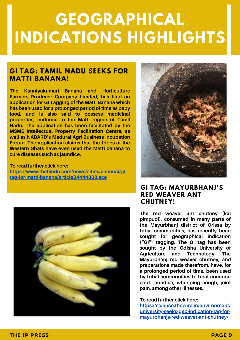# **GEOGRAPHICAL INDICATIONS HIGHLIGHTS**

### **GI TAG: TAMIL NADU SEEKS FOR MATTI BANANA!**

**The Kanniyakumari Banana and Horticulture Farmers Producer Company Limited, has filed an application for GI Tagging of the Matti Banana which has been used for a prolonged period of time as baby food, and is also said to possess medicinal properties, endemic to the Matti region of Tamil Nadu. The application has been facilitated by the MSME Intellectual Property Facilitation Centre, as well as NABARD's Madurai Agri Business Incubation Forum. The application claims that the tribes of the Western Ghats have even used the Matti banana to cure diseases such as jaundice.**

#### **To read further click here:**

**[https://www.thehindu.com/news/cities/chennai/gi](https://www.thehindu.com/news/cities/chennai/gi-tag-for-matti-banana/article34444808.ece)tag-for-matti-banana/article34444808.ece**





#### **GI TAG: MAYURBHANJ'S RED WEAVER ANT CHUTNEY!**

**The red weaver ant chutney (kai pimpudi), consumed in many parts of the Mayurbhanj district of Orissa by tribal communities, has recently been sought for geographical indication ("GI") tagging. The GI tag has been sought by the Odisha University of Agriculture and Technology. The Mayurbhanj red weaver chutney, and preparations made therefrom, have, for a prolonged period of time, been used by tribal communities to treat common cold, jaundice, whooping cough, joint pain, among other illnesses.**

**To read further click here:**

**[https://science.thewire.in/environment/](https://science.thewire.in/environment/university-seeks-geo-indication-tag-for-mayurbhanjs-red-weaver-ant-chutney/) university-seeks-geo-indication-tag-formayurbhanjs-red-weaver-ant-chutney/**